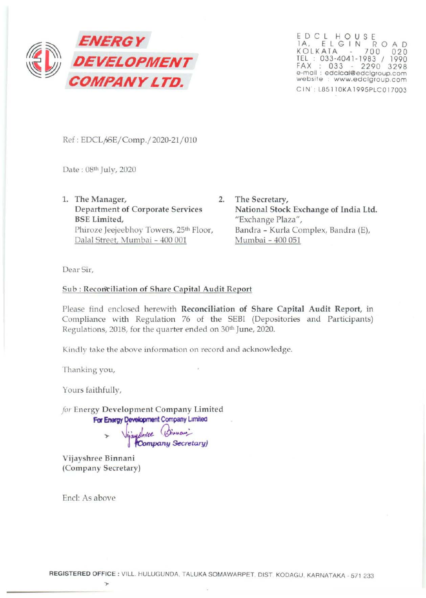

EDCL H OUS E lA. E L G I N R 0 AD KOLKATA 700 020 TEL : 033-4041-1983 / 1990 FAX : 033 - 2290 3298 e-mail : edclcol@edclgroup.com website : www.edclgroup.com CIN: L85110KA1995PLC017003

Ref: EDCL/SE/Comp./2020-21/010

Date: 08th July, 2020

- 1. The Manager, 2. Department of Corporate Services BSE Limited, Phiroze Jeejeebhoy Towers, 25<sup>th</sup> Floor, Dalal Street, Mumbai - 400 001
	- The Secretary, National Stock Exchange of India Ltd. "Exchange Plaza", Bandra - Kurla Complex, Bandra (E), Mumbai- 400 051

Dear Sir,

## Sub : Reconciliation of Share Capital Audit Report

Please find enclosed herewith Reconciliation of Share Capital Audit Report, in Compliance with Regulation 76 of the SEBl (Depositories and Participants) Regulations, 2018, for the quarter ended on 30th June, 2020.

Kindly take the above information on record and acknowledge.

Thanking you,

Yours faithfully,

*for* Energy Development Company Limited **For Energy Development Company Limited** 

> Vijayshree (Binnan) **(Company Secretary)**

Vijayshree Binnani (Company Secretary)

.,..

Encl: As above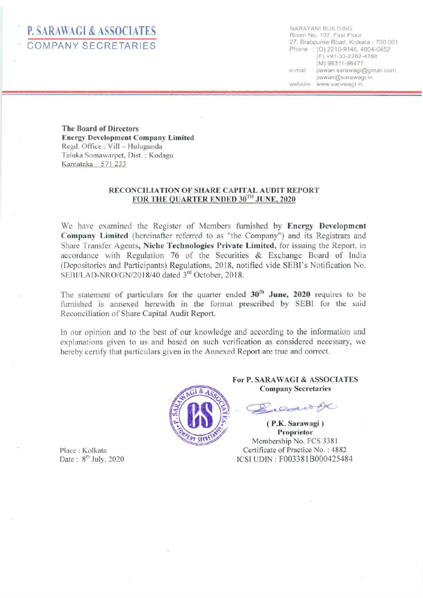# P. SARAWAGI & ASSOCIATES COMPANY SECRETARIES

NARAYAN! BUILDING Room No. 107, First Floor 27, Brabourne Road. Kolkata- 700 001 Phone : (0) 2210-9146, 4004-0452  $(F) +91-33-2262-4788$ (M) 98311-96477 e-mail : pawan sarawagi@gmail.com. pawan@sarawag1.1n website : www.sarawagi.in

The Board of Directors **Energy Development Company Limited** Regd. Office : Vill - Hulugunda Taluka Somawarpet, Dist. : Kodagu Karnataka  $-571$  233

#### RECONCILIATION OF SHARE CAPITAL AUDIT REPORT FOR THE QUARTER ENDED 30TH JUNE, 2020

We have examined the Register of Members furnished by Energy Development Company Limited (hereinafter referred to as "the Company") and its Registrars and Share Transfer Agents, Niche Technologies Private Limited, for issuing the Report, in accordance with Regulation 76 of the Securities & Exchange Board of India (Depositories and Participants) Regulations, 20 18, notified vide SEBI's Notification No. SEBI/LAD-NRO/GN/2018/40 dated 3<sup>rd</sup> October, 2018.

The statement of particulars for the quarter ended  $30<sup>th</sup>$  June, 2020 requires to be furnished is annexed herewith in the format prescribed by SEBI for the said Reconciliation of Share Capital Audit Report.

In our opinion and to the best of our knowledge and according to the information and explanations given to us and based on such verification as considered necessary, we hereby certify that particulars given in the Annexed Report are true and correct.



For P. SARAWAGI & ASSOCIATES Company Secretaries

Dear of

( P.K. Sarawagi) Proprietor Membership No. FCS 3381 Certificate of Practice No. : 4882 ICSI UDIN : F003381 8000425484

Place : Kolkata Date:  $8^{\text{th}}$  July, 2020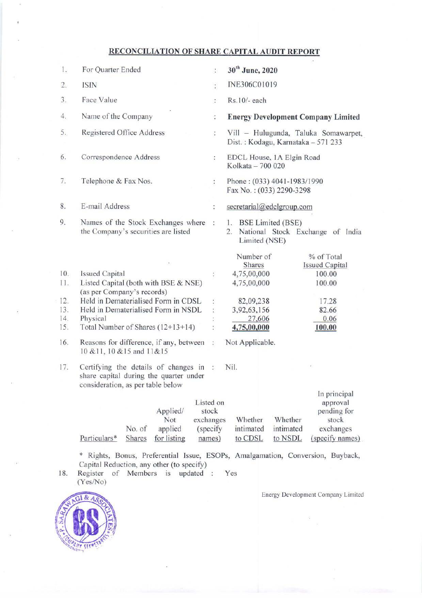### **RECONCILIATION OF SHARE CAPITAL AUDIT REPORT**

| 1.  | For Quarter Ended                                                                                                   | $\ddot{\cdot}$               | 30 <sup>th</sup> June, 2020                                                |                                                                                  |
|-----|---------------------------------------------------------------------------------------------------------------------|------------------------------|----------------------------------------------------------------------------|----------------------------------------------------------------------------------|
| 2.  | <b>ISIN</b>                                                                                                         | $\ddot{\cdot}$               | INE306C01019                                                               |                                                                                  |
| 3.  | Face Value                                                                                                          | $\ddot{\cdot}$               | Rs.10/- each                                                               |                                                                                  |
| 4.  | Name of the Company                                                                                                 | ÷                            | <b>Energy Development Company Limited</b>                                  |                                                                                  |
| 5.  | Registered Office Address                                                                                           | ţ.                           | Vill - Hulugunda, Taluka Somawarpet,<br>Dist.: Kodagu, Karnataka - 571 233 |                                                                                  |
| 6.  | Correspondence Address                                                                                              | ÷                            | EDCL House, 1A Elgin Road<br>Kolkata - 700 020                             |                                                                                  |
| 7.  | Telephone & Fax Nos.                                                                                                | ÷                            | Phone: (033) 4041-1983/1990<br>Fax No.: (033) 2290-3298                    |                                                                                  |
| 8.  | E-mail Address                                                                                                      | ÷                            | secretarial@edclgroup.com                                                  |                                                                                  |
| 9.  | Names of the Stock Exchanges where<br>the Company's securities are listed                                           | $\ddot{\phantom{a}}$         | 1. BSE Limited (BSE)<br>2.<br>Limited (NSE)                                | National Stock Exchange of India                                                 |
| 10. | <b>Issued Capital</b>                                                                                               |                              | Number of<br>Shares<br>4,75,00,000                                         | % of Total<br><b>Issued Capital</b><br>100.00                                    |
| 11. | Listed Capital (both with BSE & NSE)<br>(as per Company's records)                                                  |                              | 4,75,00,000                                                                | 100.00                                                                           |
| 12. | Held in Dematerialised Form in CDSL                                                                                 |                              | 82,09,238                                                                  | 17.28                                                                            |
| 13. | Held in Dematerialised Form in NSDL                                                                                 |                              | 3,92,63,156                                                                | 82.66                                                                            |
| 14. | Physical                                                                                                            |                              | 27,606                                                                     | 0.06                                                                             |
| 15. | Total Number of Shares (12+13+14)                                                                                   |                              | 4,75,00,000                                                                | 100.00                                                                           |
| 16. | Reasons for difference, if any, between<br>Not Applicable.<br>ţ.<br>10 & 11, 10 & 15 and 11&15                      |                              |                                                                            |                                                                                  |
| 17. | Certifying the details of changes in<br>share capital during the quarter under<br>consideration, as per table below | $\ddot{\phantom{a}}$         | Nil.                                                                       |                                                                                  |
|     | Listed on<br>Applied/<br>Not<br>exchanges<br>No. of<br>applied<br>Particulars*<br>for listing<br>Shares             | stock<br>(specify)<br>names) | Whether<br>Whether<br>intimated<br>intimated<br>to CDSL<br>to NSDL         | In principal<br>approval<br>pending for<br>stock<br>exchanges<br>(specify names) |

\* Rights, Bonus, Preferential Issue, ESOPs, Amalgamation, Conversion, Buyback, Capital Reduction, any other (to specify)

18. Register of Members is updated : Yes (Yes/No)

Energy Development Company Limited